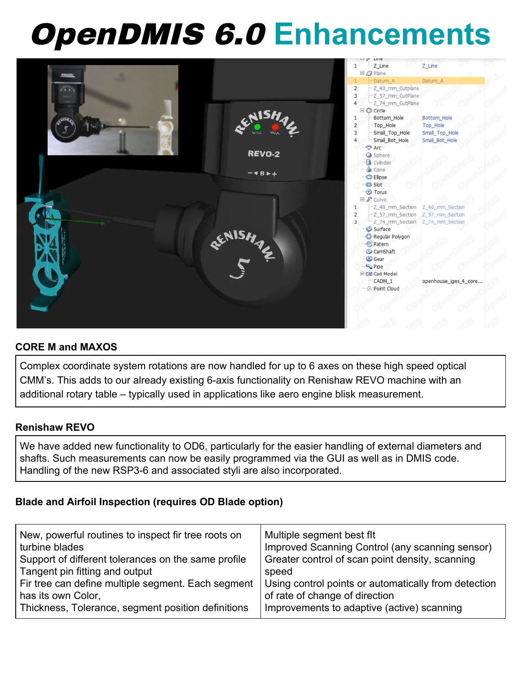# OpenDMIS 6.0 **Enhancements**



## **CORE M and MAXOS**

Complex coordinate system rotations are now handled for up to 6 axes on these high speed optical CMM's. This adds to our already existing 6-axis functionality on Renishaw REVO machine with an additional rotary table – typically used in applications like aero engine blisk measurement.

#### **Renishaw REVO**

We have added new functionality to OD6, particularly for the easier handling of external diameters and shafts. Such measurements can now be easily programmed via the GUI as well as in DMIS code. Handling of the new RSP3-6 and associated styli are also incorporated.

### **Blade and Airfoil Inspection (requires OD Blade option)**